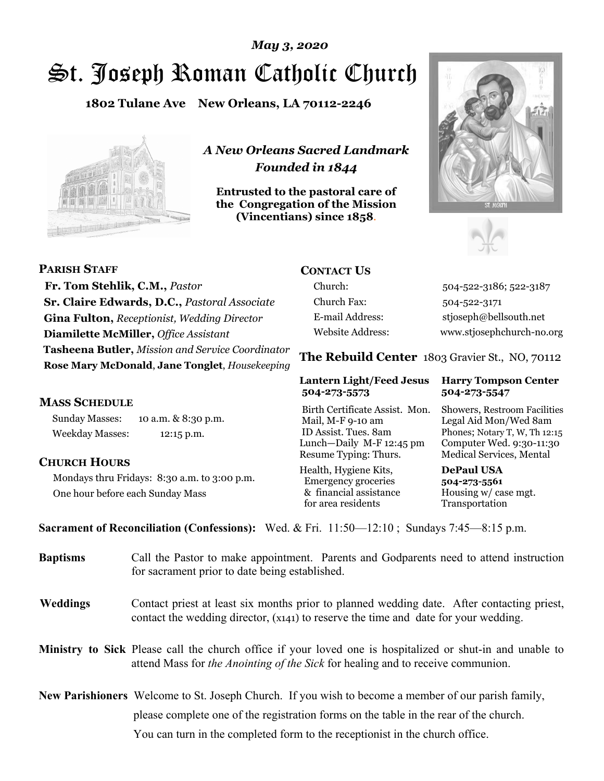# St. Joseph Roman Catholic Church *May 3, 2020*

**1802 Tulane Ave New Orleans, LA 70112-2246**



*A New Orleans Sacred Landmark Founded in 1844* 

**Entrusted to the pastoral care of the Congregation of the Mission (Vincentians) since 1858**.





**PARISH STAFF Fr. Tom Stehlik, C.M.,** *Pastor* **Sr. Claire Edwards, D.C.,** *Pastoral Associate* **Gina Fulton,** *Receptionist, Wedding Director* **Diamilette McMiller,** *Office Assistant* **Tasheena Butler,** *Mission and Service Coordinator* **Rose Mary McDonald**, **Jane Tonglet**, *Housekeeping* 

#### **MASS SCHEDULE**

Sunday Masses: 10 a.m. & 8:30 p.m. Weekday Masses: 12:15 p.m.

#### **CHURCH HOURS**

Mondays thru Fridays: 8:30 a.m. to 3:00 p.m. One hour before each Sunday Mass

## **CONTACT US**

Church: 504-522-3186; 522-3187 Church Fax: 504-522-3171 E-mail Address: stjoseph@bellsouth.net Website Address: www.stjosephchurch-no.org

**The Rebuild Center** 1803 Gravier St., NO, 70112

#### **Lantern Light/Feed Jesus Harry Tompson Center 504-273-5573 504-273-5547**

Birth Certificate Assist. Mon. Showers, Restroom Facilities Mail, M-F 9-10 am Legal Aid Mon/Wed 8am ID Assist. Tues. 8am Phones; Notary T, W, Th 12:15 Lunch—Daily M-F 12:45 pm Computer Wed. 9:30-11:30 Resume Typing: Thurs. Medical Services, Mental

Health, Hygiene Kits, **DePaul USA**  Emergency groceries **504-273-5561** & financial assistance Housing w/ case mgt. for area residents Transportation

**Sacrament of Reconciliation (Confessions):** Wed. & Fri. 11:50—12:10 ; Sundays 7:45—8:15 p.m.

| <b>Baptisms</b> | Call the Pastor to make appointment. Parents and Godparents need to attend instruction<br>for sacrament prior to date being established.                                                            |
|-----------------|-----------------------------------------------------------------------------------------------------------------------------------------------------------------------------------------------------|
| <b>Weddings</b> | Contact priest at least six months prior to planned wedding date. After contacting priest,<br>contact the wedding director, (x141) to reserve the time and date for your wedding.                   |
|                 | <b>Ministry to Sick</b> Please call the church office if your loved one is hospitalized or shut-in and unable to<br>attend Mass for the Anointing of the Sick for healing and to receive communion. |
|                 | <b>New Parishioners</b> Welcome to St. Joseph Church. If you wish to become a member of our parish family,                                                                                          |
|                 | please complete one of the registration forms on the table in the rear of the church.                                                                                                               |
|                 | You can turn in the completed form to the receptionist in the church office.                                                                                                                        |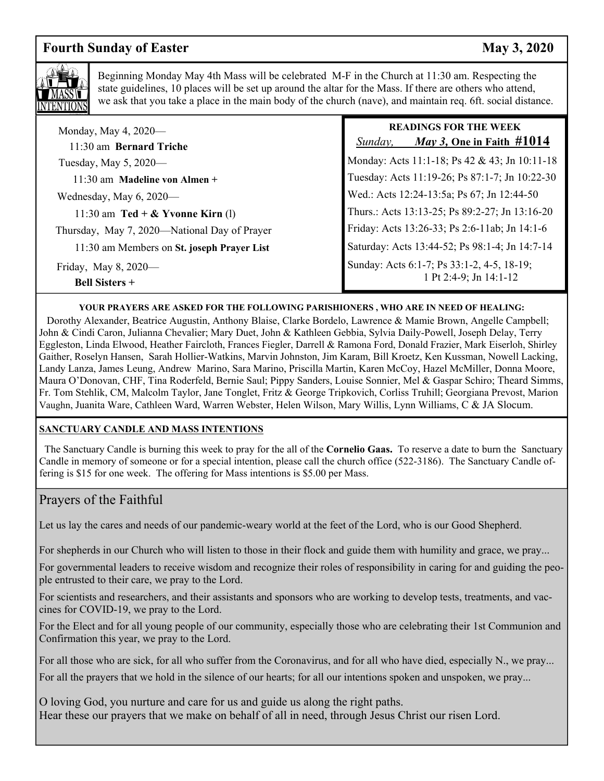# **Fourth Sunday of Easter May 3, 2020**



Beginning Monday May 4th Mass will be celebrated M-F in the Church at 11:30 am. Respecting the state guidelines, 10 places will be set up around the altar for the Mass. If there are others who attend, we ask that you take a place in the main body of the church (nave), and maintain req. 6ft. social distance.

| Monday, May 4, $2020$ —<br>11:30 am Bernard Triche | <b>READINGS FOR THE WEEK</b><br><i>May 3, One in Faith #</i> 1014<br>Sunday, |
|----------------------------------------------------|------------------------------------------------------------------------------|
| Tuesday, May 5, 2020—                              | Monday: Acts 11:1-18; Ps 42 & 43; Jn 10:11-18                                |
| 11:30 am Madeline von Almen +                      | Tuesday: Acts 11:19-26; Ps 87:1-7; Jn 10:22-30                               |
| Wednesday, May $6, 2020$ —                         | Wed.: Acts 12:24-13:5a; Ps 67; Jn 12:44-50                                   |
| 11:30 am $\text{ Ted} + \&$ Yvonne Kirn (1)        | Thurs.: Acts 13:13-25; Ps 89:2-27; Jn 13:16-20                               |
| Thursday, May 7, 2020—National Day of Prayer       | Friday: Acts 13:26-33; Ps 2:6-11ab; Jn 14:1-6                                |
| 11:30 am Members on St. joseph Prayer List         | Saturday: Acts 13:44-52; Ps 98:1-4; Jn 14:7-14                               |
| Friday, May 8, 2020—<br><b>Bell Sisters +</b>      | Sunday: Acts 6:1-7; Ps 33:1-2, 4-5, 18-19;<br>1 Pt 2:4-9; Jn 14:1-12         |

#### **YOUR PRAYERS ARE ASKED FOR THE FOLLOWING PARISHIONERS , WHO ARE IN NEED OF HEALING:**

 Dorothy Alexander, Beatrice Augustin, Anthony Blaise, Clarke Bordelo, Lawrence & Mamie Brown, Angelle Campbell; John & Cindi Caron, Julianna Chevalier; Mary Duet, John & Kathleen Gebbia, Sylvia Daily-Powell, Joseph Delay, Terry Eggleston, Linda Elwood, Heather Faircloth, Frances Fiegler, Darrell & Ramona Ford, Donald Frazier, Mark Eiserloh, Shirley Gaither, Roselyn Hansen, Sarah Hollier-Watkins, Marvin Johnston, Jim Karam, Bill Kroetz, Ken Kussman, Nowell Lacking, Landy Lanza, James Leung, Andrew Marino, Sara Marino, Priscilla Martin, Karen McCoy, Hazel McMiller, Donna Moore, Maura O'Donovan, CHF, Tina Roderfeld, Bernie Saul; Pippy Sanders, Louise Sonnier, Mel & Gaspar Schiro; Theard Simms, Fr. Tom Stehlik, CM, Malcolm Taylor, Jane Tonglet, Fritz & George Tripkovich, Corliss Truhill; Georgiana Prevost, Marion Vaughn, Juanita Ware, Cathleen Ward, Warren Webster, Helen Wilson, Mary Willis, Lynn Williams, C & JA Slocum.

#### **SANCTUARY CANDLE AND MASS INTENTIONS**

 The Sanctuary Candle is burning this week to pray for the all of the **Cornelio Gaas.** To reserve a date to burn the Sanctuary Candle in memory of someone or for a special intention, please call the church office (522-3186). The Sanctuary Candle offering is \$15 for one week. The offering for Mass intentions is \$5.00 per Mass.

### Prayers of the Faithful

Let us lay the cares and needs of our pandemic-weary world at the feet of the Lord, who is our Good Shepherd.

For shepherds in our Church who will listen to those in their flock and guide them with humility and grace, we pray...

For governmental leaders to receive wisdom and recognize their roles of responsibility in caring for and guiding the people entrusted to their care, we pray to the Lord.

For scientists and researchers, and their assistants and sponsors who are working to develop tests, treatments, and vaccines for COVID-19, we pray to the Lord.

For the Elect and for all young people of our community, especially those who are celebrating their 1st Communion and Confirmation this year, we pray to the Lord.

For all those who are sick, for all who suffer from the Coronavirus, and for all who have died, especially N., we pray...

For all the prayers that we hold in the silence of our hearts; for all our intentions spoken and unspoken, we pray...

O loving God, you nurture and care for us and guide us along the right paths. Hear these our prayers that we make on behalf of all in need, through Jesus Christ our risen Lord.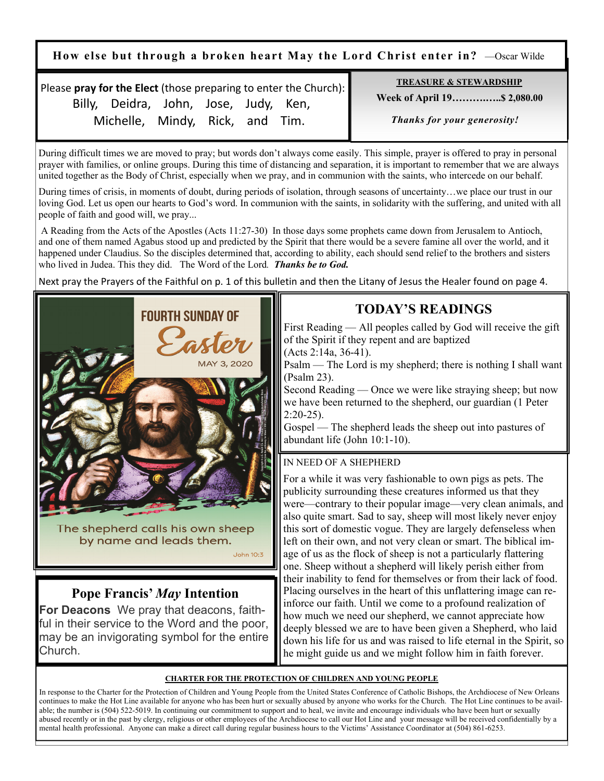**How else but through a broken heart May the Lord Christ enter in?** —Oscar Wilde

Please **pray for the Elect** (those preparing to enter the Church): Billy, Deidra, John, Jose, Judy, Ken, Michelle, Mindy, Rick, and Tim.

**TREASURE & STEWARDSHIP**

 **Week of April 19……….…..\$ 2,080.00** 

 *Thanks for your generosity!* 

During difficult times we are moved to pray; but words don't always come easily. This simple, prayer is offered to pray in personal prayer with families, or online groups. During this time of distancing and separation, it is important to remember that we are always united together as the Body of Christ, especially when we pray, and in communion with the saints, who intercede on our behalf.

During times of crisis, in moments of doubt, during periods of isolation, through seasons of uncertainty…we place our trust in our loving God. Let us open our hearts to God's word. In communion with the saints, in solidarity with the suffering, and united with all people of faith and good will, we pray...

 A Reading from the Acts of the Apostles (Acts 11:27-30) In those days some prophets came down from Jerusalem to Antioch, and one of them named Agabus stood up and predicted by the Spirit that there would be a severe famine all over the world, and it happened under Claudius. So the disciples determined that, according to ability, each should send relief to the brothers and sisters who lived in Judea. This they did. The Word of the Lord*. Thanks be to God.*

Next pray the Prayers of the Faithful on p. 1 of this bulletin and then the Litany of Jesus the Healer found on page 4.



# **Pope Francis'** *May* **Intention**

**For Deacons** We pray that deacons, faithful in their service to the Word and the poor, may be an invigorating symbol for the entire Church.

# **TODAY'S READINGS**

First Reading — All peoples called by God will receive the gift of the Spirit if they repent and are baptized

(Acts 2:14a, 36-41).

Psalm — The Lord is my shepherd; there is nothing I shall want (Psalm 23).

Second Reading — Once we were like straying sheep; but now we have been returned to the shepherd, our guardian (1 Peter 2:20-25).

Gospel — The shepherd leads the sheep out into pastures of abundant life (John 10:1-10).

#### IN NEED OF A SHEPHERD

For a while it was very fashionable to own pigs as pets. The publicity surrounding these creatures informed us that they were—contrary to their popular image—very clean animals, and also quite smart. Sad to say, sheep will most likely never enjoy this sort of domestic vogue. They are largely defenseless when left on their own, and not very clean or smart. The biblical image of us as the flock of sheep is not a particularly flattering one. Sheep without a shepherd will likely perish either from their inability to fend for themselves or from their lack of food. Placing ourselves in the heart of this unflattering image can reinforce our faith. Until we come to a profound realization of how much we need our shepherd, we cannot appreciate how deeply blessed we are to have been given a Shepherd, who laid down his life for us and was raised to life eternal in the Spirit, so he might guide us and we might follow him in faith forever.

#### **CHARTER FOR THE PROTECTION OF CHILDREN AND YOUNG PEOPLE**

**John 10:3** 

In response to the Charter for the Protection of Children and Young People from the United States Conference of Catholic Bishops, the Archdiocese of New Orleans continues to make the Hot Line available for anyone who has been hurt or sexually abused by anyone who works for the Church. The Hot Line continues to be available; the number is (504) 522-5019. In continuing our commitment to support and to heal, we invite and encourage individuals who have been hurt or sexually abused recently or in the past by clergy, religious or other employees of the Archdiocese to call our Hot Line and your message will be received confidentially by a mental health professional. Anyone can make a direct call during regular business hours to the Victims' Assistance Coordinator at (504) 861-6253.